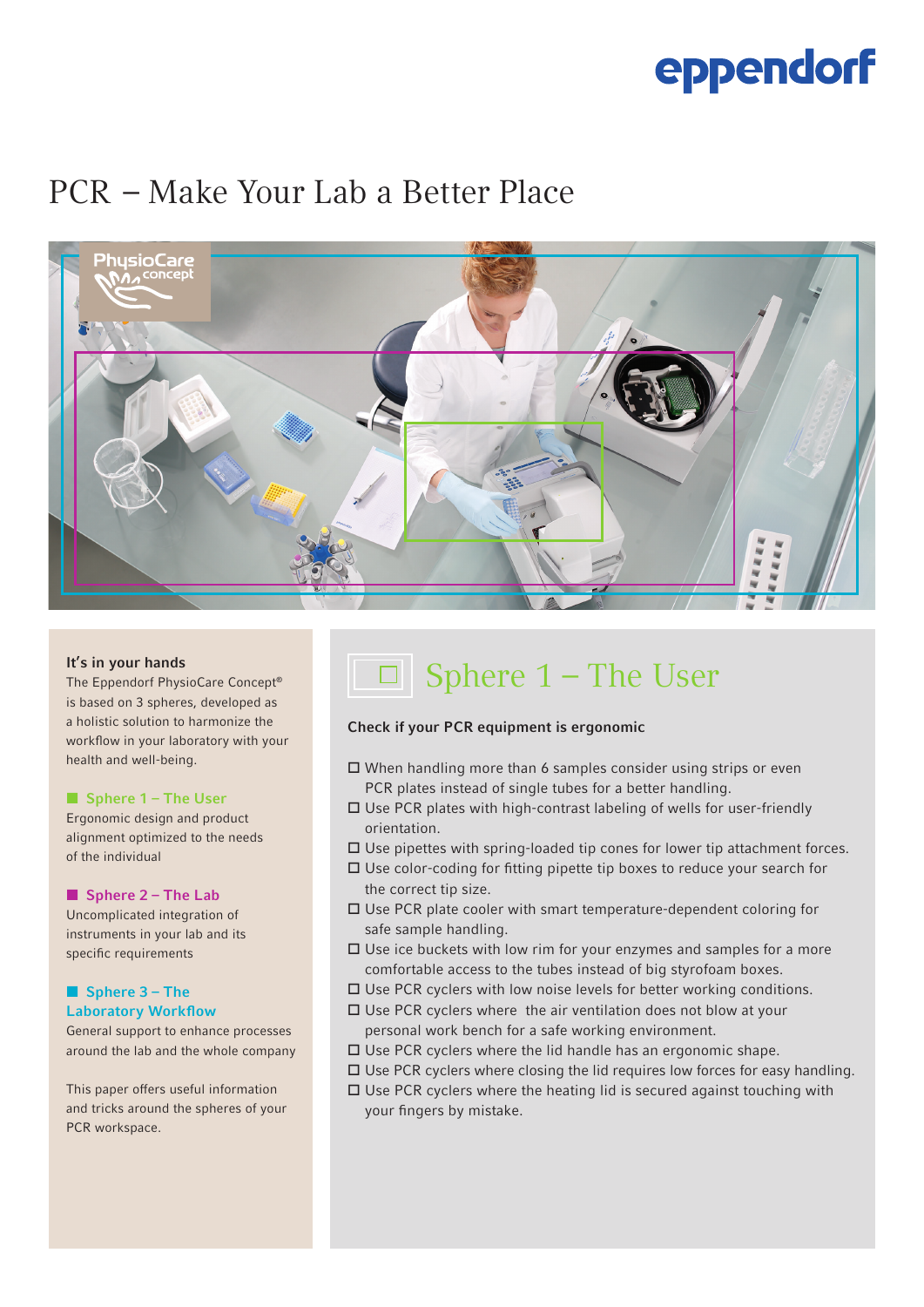# eppendorf

### PCR  – Make Your Lab a Better Place



### It's in your hands

The Eppendorf PhysioCare Concept® is based on 3 spheres, developed as a holistic solution to harmonize the workflow in your laboratory with your health and well-being.

#### ■ Sphere 1 – The User

Ergonomic design and product alignment optimized to the needs of the individual

### ■ Sphere 2 – The Lab

Uncomplicated integration of instruments in your lab and its specific requirements

### ■ Sphere 3 – The Laboratory Workflow

General support to enhance processes around the lab and the whole company

This paper offers useful information and tricks around the spheres of your PCR workspace.

## $\boxed{\Box}$  Sphere 1 – The User

### Check if your PCR equipment is ergonomic

- $\Box$  When handling more than 6 samples consider using strips or even PCR plates instead of single tubes for a better handling.
- $\square$  Use PCR plates with high-contrast labeling of wells for user-friendly orientation.
- $\square$  Use pipettes with spring-loaded tip cones for lower tip attachment forces.
- $\Box$  Use color-coding for fitting pipette tip boxes to reduce your search for the correct tip size.
- $\Box$  Use PCR plate cooler with smart temperature-dependent coloring for safe sample handling.
- $\Box$  Use ice buckets with low rim for your enzymes and samples for a more comfortable access to the tubes instead of big styrofoam boxes.
- $\square$  Use PCR cyclers with low noise levels for better working conditions.
- $\square$  Use PCR cyclers where the air ventilation does not blow at your personal work bench for a safe working environment.
- $\Box$  Use PCR cyclers where the lid handle has an ergonomic shape.
- $\Box$  Use PCR cyclers where closing the lid requires low forces for easy handling.
- $\square$  Use PCR cyclers where the heating lid is secured against touching with your fingers by mistake.